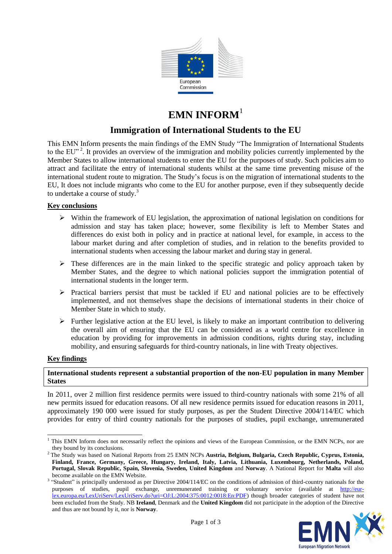

# **EMN INFORM**<sup>1</sup>

# **Immigration of International Students to the EU**

This EMN Inform presents the main findings of the EMN Study "The Immigration of International Students to the EU"<sup>2</sup>. It provides an overview of the immigration and mobility policies currently implemented by the Member States to allow international students to enter the EU for the purposes of study. Such policies aim to attract and facilitate the entry of international students whilst at the same time preventing misuse of the international student route to migration. The Study's focus is on the migration of international students to the EU, It does not include migrants who come to the EU for another purpose, even if they subsequently decide to undertake a course of study.<sup>3</sup>

# **Key conclusions**

- $\triangleright$  Within the framework of EU legislation, the approximation of national legislation on conditions for admission and stay has taken place; however, some flexibility is left to Member States and differences do exist both in policy and in practice at national level, for example, in access to the labour market during and after completion of studies, and in relation to the benefits provided to international students when accessing the labour market and during stay in general.
- $\triangleright$  These differences are in the main linked to the specific strategic and policy approach taken by Member States, and the degree to which national policies support the immigration potential of international students in the longer term.
- $\triangleright$  Practical barriers persist that must be tackled if EU and national policies are to be effectively implemented, and not themselves shape the decisions of international students in their choice of Member State in which to study.
- $\triangleright$  Further legislative action at the EU level, is likely to make an important contribution to delivering the overall aim of ensuring that the EU can be considered as a world centre for excellence in education by providing for improvements in admission conditions, rights during stay, including mobility, and ensuring safeguards for third-country nationals, in line with Treaty objectives.

# **Key findings**

-

# **International students represent a substantial proportion of the non-EU population in many Member States**

In 2011, over 2 million first residence permits were issued to third-country nationals with some 21% of all new permits issued for education reasons. Of all new residence permits issued for education reasons in 2011, approximately 190 000 were issued for study purposes, as per the Student Directive 2004/114/EC which provides for entry of third country nationals for the purposes of studies, pupil exchange, unremunerated

<sup>&</sup>lt;sup>3</sup> "Student" is principally understood as per Directive 2004/114/EC on the conditions of admission of third-country nationals for the purposes of studies, pupil exchange, unremunerated training or voluntary service (available at [http://eur](http://eur-lex.europa.eu/LexUriServ/LexUriServ.do?uri=OJ:L:2004:375:0012:0018:En:PDF)[lex.europa.eu/LexUriServ/LexUriServ.do?uri=OJ:L:2004:375:0012:0018:En:PDF\)](http://eur-lex.europa.eu/LexUriServ/LexUriServ.do?uri=OJ:L:2004:375:0012:0018:En:PDF) though broader categories of student have not been excluded from the Study. NB **Ireland**, Denmark and the **United Kingdom** did not participate in the adoption of the Directive and thus are not bound by it, nor is **Norway**.



<sup>&</sup>lt;sup>1</sup> This EMN Inform does not necessarily reflect the opinions and views of the European Commission, or the EMN NCPs, nor are they bound by its conclusions.

<sup>2</sup> The Study was based on National Reports from 25 EMN NCPs **Austria, Belgium, Bulgaria, Czech Republic, Cyprus, Estonia, Finland, France, Germany, Greece, Hungary, Ireland, Italy, Latvia, Lithuania, Luxembourg, Netherlands, Poland, Portugal, Slovak Republic, Spain, Slovenia, Sweden, United Kingdom** and **Norway**. A National Report for **Malta** will also become available on the EMN Website.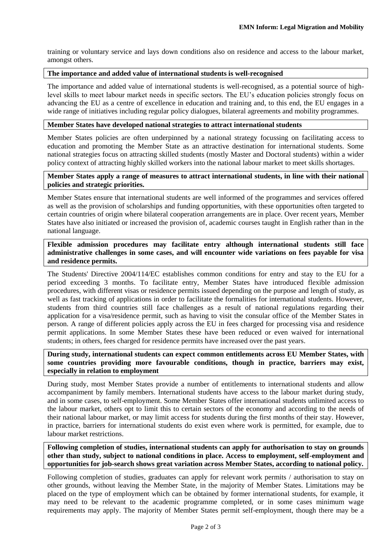training or voluntary service and lays down conditions also on residence and access to the labour market, amongst others.

#### **The importance and added value of international students is well-recognised**

The importance and added value of international students is well-recognised, as a potential source of highlevel skills to meet labour market needs in specific sectors. The EU's education policies strongly focus on advancing the EU as a centre of excellence in education and training and, to this end, the EU engages in a wide range of initiatives including regular policy dialogues, bilateral agreements and mobility programmes.

#### **Member States have developed national strategies to attract international students**

Member States policies are often underpinned by a national strategy focussing on facilitating access to education and promoting the Member State as an attractive destination for international students. Some national strategies focus on attracting skilled students (mostly Master and Doctoral students) within a wider policy context of attracting highly skilled workers into the national labour market to meet skills shortages.

### **Member States apply a range of measures to attract international students, in line with their national policies and strategic priorities.**

Member States ensure that international students are well informed of the programmes and services offered as well as the provision of scholarships and funding opportunities, with these opportunities often targeted to certain countries of origin where bilateral cooperation arrangements are in place. Over recent years, Member States have also initiated or increased the provision of, academic courses taught in English rather than in the national language.

**Flexible admission procedures may facilitate entry although international students still face administrative challenges in some cases, and will encounter wide variations on fees payable for visa and residence permits.**

The Students' Directive 2004/114/EC establishes common conditions for entry and stay to the EU for a period exceeding 3 months. To facilitate entry, Member States have introduced flexible admission procedures, with different visas or residence permits issued depending on the purpose and length of study, as well as fast tracking of applications in order to facilitate the formalities for international students. However, students from third countries still face challenges as a result of national regulations regarding their application for a visa/residence permit, such as having to visit the consular office of the Member States in person. A range of different policies apply across the EU in fees charged for processing visa and residence permit applications. In some Member States these have been reduced or even waived for international students; in others, fees charged for residence permits have increased over the past years.

**During study, international students can expect common entitlements across EU Member States, with some countries providing more favourable conditions, though in practice, barriers may exist, especially in relation to employment** 

During study, most Member States provide a number of entitlements to international students and allow accompaniment by family members. International students have access to the labour market during study, and in some cases, to self-employment. Some Member States offer international students unlimited access to the labour market, others opt to limit this to certain sectors of the economy and according to the needs of their national labour market, or may limit access for students during the first months of their stay. However, in practice, barriers for international students do exist even where work is permitted, for example, due to labour market restrictions.

**Following completion of studies, international students can apply for authorisation to stay on grounds other than study, subject to national conditions in place. Access to employment, self-employment and opportunities for job-search shows great variation across Member States, according to national policy.**

Following completion of studies, graduates can apply for relevant work permits / authorisation to stay on other grounds, without leaving the Member State, in the majority of Member States. Limitations may be placed on the type of employment which can be obtained by former international students, for example, it may need to be relevant to the academic programme completed, or in some cases minimum wage requirements may apply. The majority of Member States permit self-employment, though there may be a